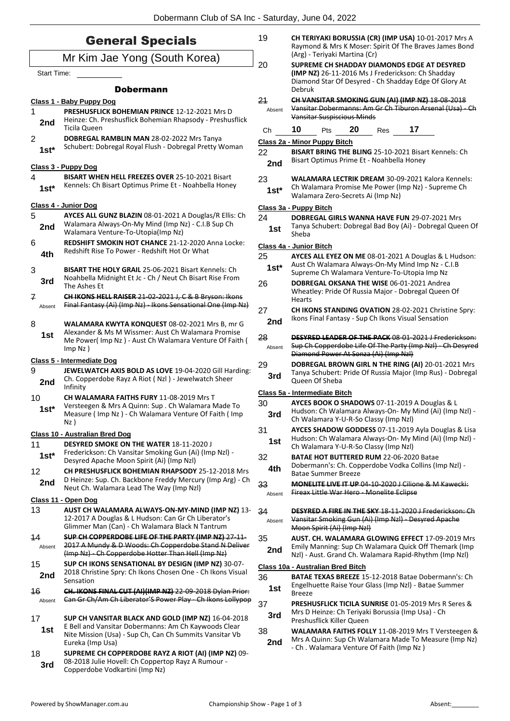| <b>General Specials</b><br>Mr Kim Jae Yong (South Korea)<br><b>Start Time:</b><br><b>Dobermann</b><br><u>Class 1 - Baby Puppy Dog</u><br>1<br><b>PRESHUSFLICK BOHEMIAN PRINCE 12-12-2021 Mrs D</b><br>2nd<br>Ticila Queen<br>2<br>DOBREGAL RAMBLIN MAN 28-02-2022 Mrs Tanya<br>$1st^*$<br><u> Class 3 - Puppy Dog</u><br>4<br><b>BISART WHEN HELL FREEZES OVER 25-10-2021 Bisart</b><br>Kennels: Ch Bisart Optimus Prime Et - Noahbella Honey<br>$1st*$<br><u> Class 4 - Junior Dog</u><br>5<br>Walamara Always-On-My Mind (Imp Nz) - C.I.B Sup Ch<br>2nd<br>Walamara Venture-To-Utopia(Imp Nz)<br>6<br>Redshift Rise To Power - Redshift Hot Or What<br>4th<br>3<br>BISART THE HOLY GRAIL 25-06-2021 Bisart Kennels: Ch<br>Noahbella Midnight Et Jc - Ch / Neut Ch Bisart Rise From<br>3rd<br>The Ashes Et<br>7<br>Absent |  |                                                                                                                        |
|----------------------------------------------------------------------------------------------------------------------------------------------------------------------------------------------------------------------------------------------------------------------------------------------------------------------------------------------------------------------------------------------------------------------------------------------------------------------------------------------------------------------------------------------------------------------------------------------------------------------------------------------------------------------------------------------------------------------------------------------------------------------------------------------------------------------------|--|------------------------------------------------------------------------------------------------------------------------|
|                                                                                                                                                                                                                                                                                                                                                                                                                                                                                                                                                                                                                                                                                                                                                                                                                            |  | Dobermann Club of SA In                                                                                                |
|                                                                                                                                                                                                                                                                                                                                                                                                                                                                                                                                                                                                                                                                                                                                                                                                                            |  |                                                                                                                        |
|                                                                                                                                                                                                                                                                                                                                                                                                                                                                                                                                                                                                                                                                                                                                                                                                                            |  |                                                                                                                        |
|                                                                                                                                                                                                                                                                                                                                                                                                                                                                                                                                                                                                                                                                                                                                                                                                                            |  |                                                                                                                        |
|                                                                                                                                                                                                                                                                                                                                                                                                                                                                                                                                                                                                                                                                                                                                                                                                                            |  |                                                                                                                        |
|                                                                                                                                                                                                                                                                                                                                                                                                                                                                                                                                                                                                                                                                                                                                                                                                                            |  |                                                                                                                        |
|                                                                                                                                                                                                                                                                                                                                                                                                                                                                                                                                                                                                                                                                                                                                                                                                                            |  | Heinze: Ch. Preshusflick Bohemian Rhapsody - Preshusflick                                                              |
|                                                                                                                                                                                                                                                                                                                                                                                                                                                                                                                                                                                                                                                                                                                                                                                                                            |  | Schubert: Dobregal Royal Flush - Dobregal Pretty Woman                                                                 |
|                                                                                                                                                                                                                                                                                                                                                                                                                                                                                                                                                                                                                                                                                                                                                                                                                            |  |                                                                                                                        |
|                                                                                                                                                                                                                                                                                                                                                                                                                                                                                                                                                                                                                                                                                                                                                                                                                            |  |                                                                                                                        |
|                                                                                                                                                                                                                                                                                                                                                                                                                                                                                                                                                                                                                                                                                                                                                                                                                            |  |                                                                                                                        |
|                                                                                                                                                                                                                                                                                                                                                                                                                                                                                                                                                                                                                                                                                                                                                                                                                            |  | AYCES ALL GUNZ BLAZIN 08-01-2021 A Douglas/R Ellis: Ch                                                                 |
|                                                                                                                                                                                                                                                                                                                                                                                                                                                                                                                                                                                                                                                                                                                                                                                                                            |  | <b>REDSHIFT SMOKIN HOT CHANCE 21-12-2020 Anna Locke:</b>                                                               |
|                                                                                                                                                                                                                                                                                                                                                                                                                                                                                                                                                                                                                                                                                                                                                                                                                            |  |                                                                                                                        |
|                                                                                                                                                                                                                                                                                                                                                                                                                                                                                                                                                                                                                                                                                                                                                                                                                            |  | CH IKONS HELL RAISER 21 02 2021 J, C & B Bryson: Ikons<br>Final Fantasy (Ai) (Imp Nz) - Ikons Sensational One (Imp Nz) |

8 **WALAMARA KWYTA KONQUEST** 08-02-2021 Mrs B, mr G Alexander & Ms M Wissmer: Aust Ch Walamara Promise Me Power( Imp Nz ) - Aust Ch Walamara Venture Of Faith ( Imp Nz ) **1st**

### **Class 5 - Intermediate Dog**

- 9 **JEWELWATCH AXIS BOLD AS LOVE** 19-04-2020 Gill Harding: Ch. Copperdobe Rayz A Riot ( Nzl ) - Jewelwatch Sheer **2nd** Cn. Cop
- 10 **CH WALAMARA FAITHS FURY** 11-08-2019 Mrs T Versteegen & Mrs A Quinn: Sup . Ch Walamara Made To Measure ( Imp Nz ) - Ch Walamara Venture Of Faith ( Imp Nz ) **1st\***

#### **Class 10 - Australian Bred Dog**

11 **DESYRED SMOKE ON THE WATER** 18-11-2020 J Frederickson: Ch Vansitar Smoking Gun (Ai) (Imp Nzl) - Desyred Apache Moon Spirit (Ai) (Imp Nzl) **1st\*** 12 **CH PRESHUSFLICK BOHEMIAN RHAPSODY** 25-12-2018 Mrs D Heinze: Sup. Ch. Backbone Freddy Mercury (Imp Arg) - Ch **2nd** D Heinze: Sup. Ch. Backbone Freday Mercur<br>Neut Ch. Walamara Lead The Way (Imp Nzl)

### **Class 11 - Open Dog**

- 13 **AUST CH WALAMARA ALWAYS-ON-MY-MIND (IMP NZ)** 13- 12-2017 A Douglas & L Hudson: Can Gr Ch Liberator's Glimmer Man (Can) - Ch Walamara Black N Tantrum
- 14 **SUP CH COPPERDOBE LIFE OF THE PARTY (IMP NZ)** 27-11- 2017 A Mundy & D Woods: Ch Copperdobe Stand N Deliver (Imp Nz) - Ch Copperdobe Hotter Than Hell (Imp Nz) Absent
- 15 **SUP CH IKONS SENSATIONAL BY DESIGN (IMP NZ)** 30-07- 2018 Christine Spry: Ch Ikons Chosen One - Ch Ikons Visual **2nd** <sup>2018 Chri</sup><br>Sensation
- 16 **CH. IKONS FINAL CUT (AI)(IMP NZ)** 22-09-2018 Dylan Prior: Absent Can Gr Ch/Am Ch Liberator'S Power Play - Ch Ikons Lollypop
- 17 **SUP CH VANSITAR BLACK AND GOLD (IMP NZ)** 16-04-2018 E Bell and Vansitar Dobermanns: Am Ch Kaywoods Clear Nite Mission (Usa) - Sup Ch, Can Ch Summits Vansitar Vb Eureka (Imp Usa) **1st**
- 18 **SUPREME CH COPPERDOBE RAYZ A RIOT (AI) (IMP NZ)** 09- 08-2018 Julie Hovell: Ch Coppertop Rayz A Rumour - **3rd** U8-2018 Julie Hovell: Ch Coppert Copperdobe Vodkartini (Imp Nz)

|                                   | י וייט היטטשייט<br><del>oon</del> to of <i>cott</i><br>Raymond & Mrs K Moser: Spirit Of The Braves James Bond<br>(Arg) - Teriyaki Martina (Cr)                      |                                                                                                                                       |  |     |    |                                                                                                                  |  |  |  |
|-----------------------------------|---------------------------------------------------------------------------------------------------------------------------------------------------------------------|---------------------------------------------------------------------------------------------------------------------------------------|--|-----|----|------------------------------------------------------------------------------------------------------------------|--|--|--|
| 20                                | SUPREME CH SHADDAY DIAMONDS EDGE AT DESYRED<br>(IMP NZ) 26-11-2016 Ms J Frederickson: Ch Shadday<br>Diamond Star Of Desyred - Ch Shadday Edge Of Glory At<br>Debruk |                                                                                                                                       |  |     |    |                                                                                                                  |  |  |  |
| 21<br>Absent                      | CH VANSITAR SMOKING GUN (AI) (IMP NZ) 18-08-2018<br>Vansitar Dobermanns: Am Gr Ch Tiburon Arsenal (Usa) - Ch<br><b>Vansitar Suspiscious Minds</b>                   |                                                                                                                                       |  |     |    |                                                                                                                  |  |  |  |
| Ch                                | 10                                                                                                                                                                  | 20<br>Pts                                                                                                                             |  | Res | 17 |                                                                                                                  |  |  |  |
|                                   | <b>Class 2a - Minor Puppy Bitch</b>                                                                                                                                 |                                                                                                                                       |  |     |    |                                                                                                                  |  |  |  |
| 22<br>2nd                         | BISART BRING THE BLING 25-10-2021 Bisart Kennels: Ch<br>Bisart Optimus Prime Et - Noahbella Honey                                                                   |                                                                                                                                       |  |     |    |                                                                                                                  |  |  |  |
| 23<br>$1st*$                      | <b>WALAMARA LECTRIK DREAM 30-09-2021 Kalora Kennels:</b><br>Ch Walamara Promise Me Power (Imp Nz) - Supreme Ch<br>Walamara Zero-Secrets Ai (Imp Nz)                 |                                                                                                                                       |  |     |    |                                                                                                                  |  |  |  |
|                                   | Class 3a - Puppy Bitch                                                                                                                                              |                                                                                                                                       |  |     |    |                                                                                                                  |  |  |  |
| 24                                |                                                                                                                                                                     | DOBREGAL GIRLS WANNA HAVE FUN 29-07-2021 Mrs                                                                                          |  |     |    |                                                                                                                  |  |  |  |
| 1st                               | Tanya Schubert: Dobregal Bad Boy (Ai) - Dobregal Queen Of<br>Sheba                                                                                                  |                                                                                                                                       |  |     |    |                                                                                                                  |  |  |  |
|                                   | Class 4a - Junior Bitch                                                                                                                                             |                                                                                                                                       |  |     |    |                                                                                                                  |  |  |  |
| 25                                |                                                                                                                                                                     |                                                                                                                                       |  |     |    | AYCES ALL EYEZ ON ME 08-01-2021 A Douglas & L Hudson:                                                            |  |  |  |
| $1st*$                            |                                                                                                                                                                     | Aust Ch Walamara Always-On-My Mind Imp Nz - C.I.B<br>Supreme Ch Walamara Venture-To-Utopia Imp Nz                                     |  |     |    |                                                                                                                  |  |  |  |
| 26                                | Hearts                                                                                                                                                              | DOBREGAL OKSANA THE WISE 06-01-2021 Andrea<br>Wheatley: Pride Of Russia Major - Dobregal Queen Of                                     |  |     |    |                                                                                                                  |  |  |  |
| 27<br>2nd                         |                                                                                                                                                                     | Ikons Final Fantasy - Sup Ch Ikons Visual Sensation                                                                                   |  |     |    | CH IKONS STANDING OVATION 28-02-2021 Christine Spry:                                                             |  |  |  |
| 28<br>Absent                      | <b>DESYRED LEADER OF THE PACK 08-01-2021 J Frederickson:</b><br>Sup Ch Copperdobe Life Of The Party (Imp NzI) Ch Desyred<br>Diamond Power At Sonza (Ai) (Imp Nzl)   |                                                                                                                                       |  |     |    |                                                                                                                  |  |  |  |
| 29<br>3rd                         | DOBREGAL BROWN GIRL N THE RING (AI) 20-01-2021 Mrs<br>Tanya Schubert: Pride Of Russia Major (Imp Rus) - Dobregal<br>Queen Of Sheba                                  |                                                                                                                                       |  |     |    |                                                                                                                  |  |  |  |
| Class 5a - Intermediate Bitch     |                                                                                                                                                                     |                                                                                                                                       |  |     |    |                                                                                                                  |  |  |  |
| 30<br>3rd                         |                                                                                                                                                                     | AYCES BOOK O SHADOWS 07-11-2019 A Douglas & L<br>Ch Walamara Y-U-R-So Classy (Imp Nzl)                                                |  |     |    | Hudson: Ch Walamara Always-On- My Mind (Ai) (Imp Nzl) -                                                          |  |  |  |
| 31<br>1st                         |                                                                                                                                                                     | Ch Walamara Y-U-R-So Classy (Imp Nzl)                                                                                                 |  |     |    | AYCES SHADOW GODDESS 07-11-2019 Ayla Douglas & Lisa<br>Hudson: Ch Walamara Always-On- My Mind (Ai) (Imp Nzl) -   |  |  |  |
| 32<br>4th                         |                                                                                                                                                                     | <b>BATAE HOT BUTTERED RUM 22-06-2020 Batae</b><br>Dobermann's: Ch. Copperdobe Vodka Collins (Imp NzI) -<br><b>Batae Summer Breeze</b> |  |     |    |                                                                                                                  |  |  |  |
| 33<br>Absent                      |                                                                                                                                                                     | <b>MONELITE LIVE IT UP 04-10-2020 J Cilione &amp; M Kawecki:</b><br>Fireax Little War Hero - Monelite Eclipse                         |  |     |    |                                                                                                                  |  |  |  |
| 34<br>Absent                      |                                                                                                                                                                     | Vansitar Smoking Gun (Ai) (Imp NzI) - Desyred Apache<br>Moon Spirit (Ai) (Imp Nzl)                                                    |  |     |    | <b>DESYRED A FIRE IN THE SKY 18-11-2020 J Frederickson: Ch</b>                                                   |  |  |  |
| 35<br>2nd                         |                                                                                                                                                                     | Nzl) - Aust. Grand Ch. Walamara Rapid-Rhythm (Imp Nzl)                                                                                |  |     |    | <b>AUST. CH. WALAMARA GLOWING EFFECT 17-09-2019 Mrs</b><br>Emily Manning: Sup Ch Walamara Quick Off Themark (Imp |  |  |  |
| Class 10a - Australian Bred Bitch |                                                                                                                                                                     |                                                                                                                                       |  |     |    |                                                                                                                  |  |  |  |
| 36<br>1st                         | <b>BATAE TEXAS BREEZE 15-12-2018 Batae Dobermann's: Ch</b><br>Engelhuette Raise Your Glass (Imp Nzl) - Batae Summer<br><b>Breeze</b>                                |                                                                                                                                       |  |     |    |                                                                                                                  |  |  |  |
| 37<br>3rd                         | PRESHUSFLICK TICILA SUNRISE 01-05-2019 Mrs R Seres &<br>Mrs D Heinze: Ch Teriyaki Borussia (Imp Usa) - Ch<br>Preshusflick Killer Queen                              |                                                                                                                                       |  |     |    |                                                                                                                  |  |  |  |
| 38<br>วฉส                         |                                                                                                                                                                     |                                                                                                                                       |  |     |    | WALAMARA FAITHS FOLLY 11-08-2019 Mrs T Versteegen &<br>Mrs A Quinn: Sup Ch Walamara Made To Measure (Imp Nz)     |  |  |  |

**2nd** Mrs A Quinn: Sup Ch Walamara Made To N<br>**2nd** - Ch . Walamara Venture Of Faith (Imp Nz)

19 **CH TERIYAKI BORUSSIA (CR) (IMP USA)** 10-01-2017 Mrs A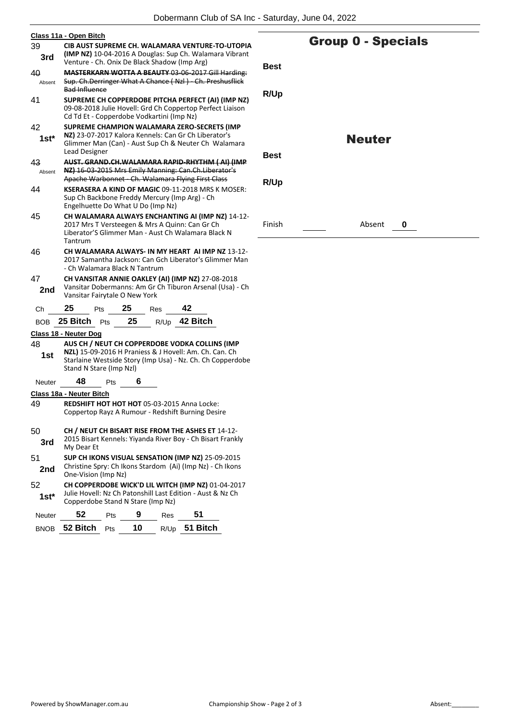| Class 11a - Open Bitch                                                                                                                |                                                                                                                                                 |  |  |  |  |  |  |  |
|---------------------------------------------------------------------------------------------------------------------------------------|-------------------------------------------------------------------------------------------------------------------------------------------------|--|--|--|--|--|--|--|
| 39<br>CIB AUST SUPREME CH. WALAMARA VENTURE-TO-UTOPIA                                                                                 |                                                                                                                                                 |  |  |  |  |  |  |  |
| 3rd                                                                                                                                   | (IMP NZ) 10-04-2016 A Douglas: Sup Ch. Walamara Vibrant<br>Venture - Ch. Onix De Black Shadow (Imp Arg)                                         |  |  |  |  |  |  |  |
| 40                                                                                                                                    | <b>MASTERKARN WOTTA A BEAUTY 03-06-2017 Gill Harding:</b>                                                                                       |  |  |  |  |  |  |  |
| Absent                                                                                                                                | Sup. Ch.Derringer What A Chance (Nzl) Ch. Preshusflick<br><b>Bad Influence</b>                                                                  |  |  |  |  |  |  |  |
| 41                                                                                                                                    | SUPREME CH COPPERDOBE PITCHA PERFECT (AI) (IMP NZ)                                                                                              |  |  |  |  |  |  |  |
|                                                                                                                                       | 09-08-2018 Julie Hovell: Grd Ch Coppertop Perfect Liaison<br>Cd Td Et - Copperdobe Vodkartini (Imp Nz)                                          |  |  |  |  |  |  |  |
| 42                                                                                                                                    | SUPREME CHAMPION WALAMARA ZERO-SECRETS (IMP                                                                                                     |  |  |  |  |  |  |  |
| NZ) 23-07-2017 Kalora Kennels: Can Gr Ch Liberator's<br>1st*<br>Glimmer Man (Can) - Aust Sup Ch & Neuter Ch Walamara<br>Lead Designer |                                                                                                                                                 |  |  |  |  |  |  |  |
| 43<br>AUST. GRAND.CH.WALAMARA RAPID-RHYTHM (AI) (IMP                                                                                  |                                                                                                                                                 |  |  |  |  |  |  |  |
| Absent                                                                                                                                | NZ) 16-03-2015 Mrs Emily Manning: Can.Ch.Liberator's<br>Apache Warbonnet Ch. Walamara Flying First Class                                        |  |  |  |  |  |  |  |
| 44                                                                                                                                    | <b>KSERASERA A KIND OF MAGIC 09-11-2018 MRS K MOSER:</b>                                                                                        |  |  |  |  |  |  |  |
|                                                                                                                                       | Sup Ch Backbone Freddy Mercury (Imp Arg) - Ch<br>Engelhuette Do What U Do (Imp Nz)                                                              |  |  |  |  |  |  |  |
| 45                                                                                                                                    | CH WALAMARA ALWAYS ENCHANTING AI (IMP NZ) 14-12-                                                                                                |  |  |  |  |  |  |  |
|                                                                                                                                       | 2017 Mrs T Versteegen & Mrs A Quinn: Can Gr Ch                                                                                                  |  |  |  |  |  |  |  |
| Liberator'S Glimmer Man - Aust Ch Walamara Black N<br>Tantrum                                                                         |                                                                                                                                                 |  |  |  |  |  |  |  |
| 46                                                                                                                                    | CH WALAMARA ALWAYS- IN MY HEART AI IMP NZ 13-12-                                                                                                |  |  |  |  |  |  |  |
|                                                                                                                                       | 2017 Samantha Jackson: Can Gch Liberator's Glimmer Man<br>- Ch Walamara Black N Tantrum                                                         |  |  |  |  |  |  |  |
| 47                                                                                                                                    | CH VANSITAR ANNIE OAKLEY (AI) (IMP NZ) 27-08-2018                                                                                               |  |  |  |  |  |  |  |
| 2nd                                                                                                                                   | Vansitar Dobermanns: Am Gr Ch Tiburon Arsenal (Usa) - Ch<br>Vansitar Fairytale O New York                                                       |  |  |  |  |  |  |  |
| Сh                                                                                                                                    | 25<br>25<br>42<br>Pts<br><b>Res</b>                                                                                                             |  |  |  |  |  |  |  |
|                                                                                                                                       | R/Up 42 Bitch<br>25<br>BOB 25 Bitch<br><b>Pts</b>                                                                                               |  |  |  |  |  |  |  |
|                                                                                                                                       | Class 18 - Neuter Dog                                                                                                                           |  |  |  |  |  |  |  |
| 48                                                                                                                                    | AUS CH / NEUT CH COPPERDOBE VODKA COLLINS (IMP                                                                                                  |  |  |  |  |  |  |  |
| 1st                                                                                                                                   | NZL) 15-09-2016 H Praniess & J Hovell: Am. Ch. Can. Ch<br>Starlaine Westside Story (Imp Usa) - Nz. Ch. Ch Copperdobe<br>Stand N Stare (Imp Nzl) |  |  |  |  |  |  |  |
| <b>Neuter</b>                                                                                                                         | 48<br>6<br>Pts                                                                                                                                  |  |  |  |  |  |  |  |
|                                                                                                                                       | <b>Class 18a - Neuter Bitch</b>                                                                                                                 |  |  |  |  |  |  |  |
| 49<br><b>REDSHIFT HOT HOT HOT 05-03-2015 Anna Locke:</b>                                                                              |                                                                                                                                                 |  |  |  |  |  |  |  |
|                                                                                                                                       | Coppertop Rayz A Rumour - Redshift Burning Desire                                                                                               |  |  |  |  |  |  |  |
|                                                                                                                                       |                                                                                                                                                 |  |  |  |  |  |  |  |
|                                                                                                                                       |                                                                                                                                                 |  |  |  |  |  |  |  |
| 50                                                                                                                                    | CH / NEUT CH BISART RISE FROM THE ASHES ET 14-12-<br>2015 Bisart Kennels: Yiyanda River Boy - Ch Bisart Frankly                                 |  |  |  |  |  |  |  |
| 3rd                                                                                                                                   | My Dear Et                                                                                                                                      |  |  |  |  |  |  |  |
| 51<br>2nd                                                                                                                             | SUP CH IKONS VISUAL SENSATION (IMP NZ) 25-09-2015<br>Christine Spry: Ch Ikons Stardom (Ai) (Imp Nz) - Ch Ikons<br>One-Vision (Imp Nz)           |  |  |  |  |  |  |  |
| 52                                                                                                                                    | CH COPPERDOBE WICK'D LIL WITCH (IMP NZ) 01-04-2017                                                                                              |  |  |  |  |  |  |  |
| $1st^*$                                                                                                                               | Julie Hovell: Nz Ch Patonshill Last Edition - Aust & Nz Ch<br>Copperdobe Stand N Stare (Imp Nz)                                                 |  |  |  |  |  |  |  |
| Neuter                                                                                                                                | 52<br>51<br>9<br>Pts<br>Res                                                                                                                     |  |  |  |  |  |  |  |

## Group 0 - Specials

**R/Up**

### Neuter

**Best**

**R/Up**

Finish Absent **0**